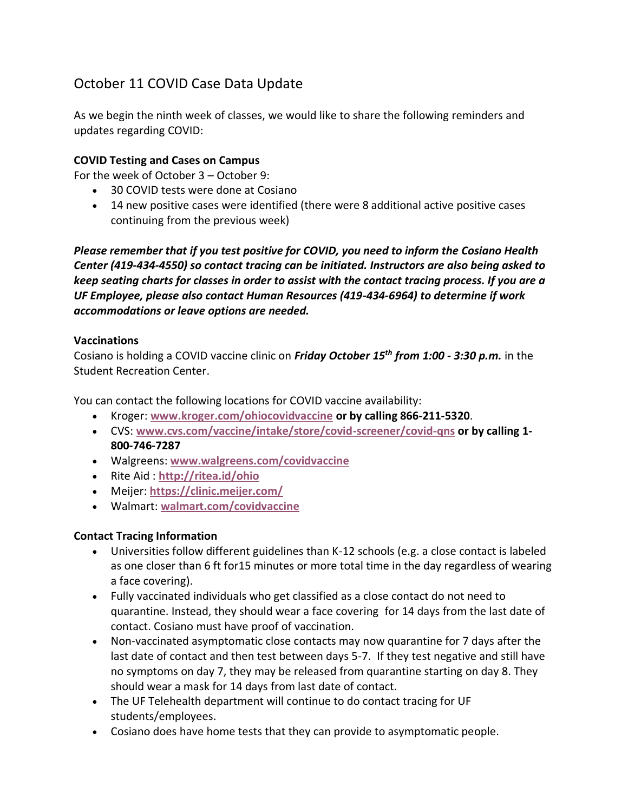# October 11 COVID Case Data Update

As we begin the ninth week of classes, we would like to share the following reminders and updates regarding COVID:

# **COVID Testing and Cases on Campus**

For the week of October 3 – October 9:

- 30 COVID tests were done at Cosiano
- 14 new positive cases were identified (there were 8 additional active positive cases continuing from the previous week)

*Please remember that if you test positive for COVID, you need to inform the Cosiano Health Center (419-434-4550) so contact tracing can be initiated. Instructors are also being asked to keep seating charts for classes in order to assist with the contact tracing process. If you are a UF Employee, please also contact Human Resources (419-434-6964) to determine if work accommodations or leave options are needed.*

# **Vaccinations**

Cosiano is holding a COVID vaccine clinic on *Friday October 15th from 1:00 - 3:30 p.m.* in the Student Recreation Center.

You can contact the following locations for COVID vaccine availability:

- Kroger: **[www.kroger.com/ohiocovidvaccine](http://www.kroger.com/ohiocovidvaccine) or by calling 866-211-5320**.
- CVS: **[www.cvs.com/vaccine/intake/store/covid-screener/covid-qns](https://www.cvs.com/vaccine/intake/store/covid-screener/covid-qns) or by calling 1- 800-746-7287**
- Walgreens: **[www.walgreens.com/covidvaccine](https://www.walgreens.com/covidvaccine)**
- Rite Aid : **<http://ritea.id/ohio>**
- Meijer: **<https://clinic.meijer.com/>**
- Walmart: **[walmart.com/covidvaccine](http://walmart.com/covidvaccine)**

# **Contact Tracing Information**

- Universities follow different guidelines than K-12 schools (e.g. a close contact is labeled as one closer than 6 ft for15 minutes or more total time in the day regardless of wearing a face covering).
- Fully vaccinated individuals who get classified as a close contact do not need to quarantine. Instead, they should wear a face covering for 14 days from the last date of contact. Cosiano must have proof of vaccination.
- Non-vaccinated asymptomatic close contacts may now quarantine for 7 days after the last date of contact and then test between days 5-7. If they test negative and still have no symptoms on day 7, they may be released from quarantine starting on day 8. They should wear a mask for 14 days from last date of contact.
- The UF Telehealth department will continue to do contact tracing for UF students/employees.
- Cosiano does have home tests that they can provide to asymptomatic people.